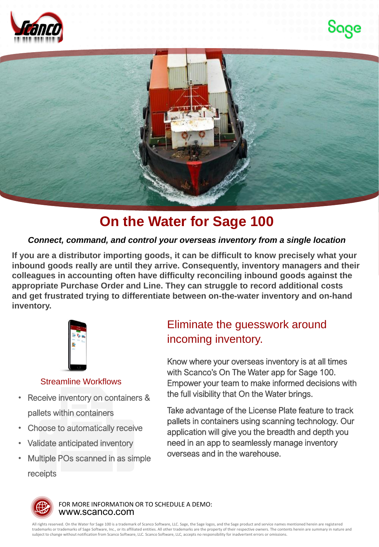





# **On the Water for Sage 100**

### *Connect, command, and control your overseas inventory from a single location*

**If you are a distributor importing goods, it can be difficult to know precisely what your inbound goods really are until they arrive. Consequently, inventory managers and their colleagues in accounting often have difficulty reconciling inbound goods against the appropriate Purchase Order and Line. They can struggle to record additional costs and get frustrated trying to differentiate between on-the-water inventory and on-hand inventory.**



#### Streamline Workflows

- Receive inventory on containers & pallets within containers
- Choose to automatically receive
- Validate anticipated inventory
- Multiple POs scanned in as simple receipts

## Eliminate the guesswork around incoming inventory.

Know where your overseas inventory is at all times with Scanco's On The Water app for Sage 100. Empower your team to make informed decisions with the full visibility that On the Water brings.

Take advantage of the License Plate feature to track pallets in containers using scanning technology. Our application will give you the breadth and depth you need in an app to seamlessly manage inventory overseas and in the warehouse.



www.scanco.com FOR MORE INFORMATION OR TO SCHEDULE A DEMO:

All rights reserved. On the Water for Sage 100 is a trademark of Scanco Software, LLC. Sage, the Sage logos, and the Sage product and service names mentioned herein are registered trademarks or trademarks of Sage Software, Inc., or its affiliated entities. All other trademarks are the property of their respective owners. The contents herein are summary in nature and subject to change without notification from Scanco Software, LLC. Scanco Software, LLC, accepts no responsibility for inadvertent errors or omissions.